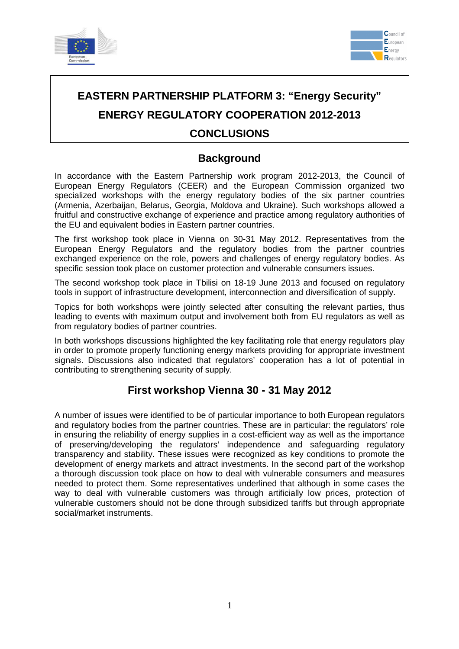



# **EASTERN PARTNERSHIP PLATFORM 3: "Energy Security" ENERGY REGULATORY COOPERATION 2012-2013 CONCLUSIONS**

## **Background**

In accordance with the Eastern Partnership work program 2012-2013, the Council of European Energy Regulators (CEER) and the European Commission organized two specialized workshops with the energy regulatory bodies of the six partner countries (Armenia, Azerbaijan, Belarus, Georgia, Moldova and Ukraine). Such workshops allowed a fruitful and constructive exchange of experience and practice among regulatory authorities of the EU and equivalent bodies in Eastern partner countries.

The first workshop took place in Vienna on 30-31 May 2012. Representatives from the European Energy Regulators and the regulatory bodies from the partner countries exchanged experience on the role, powers and challenges of energy regulatory bodies. As specific session took place on customer protection and vulnerable consumers issues.

The second workshop took place in Tbilisi on 18-19 June 2013 and focused on regulatory tools in support of infrastructure development, interconnection and diversification of supply.

Topics for both workshops were jointly selected after consulting the relevant parties, thus leading to events with maximum output and involvement both from EU regulators as well as from regulatory bodies of partner countries.

In both workshops discussions highlighted the key facilitating role that energy regulators play in order to promote properly functioning energy markets providing for appropriate investment signals. Discussions also indicated that regulators' cooperation has a lot of potential in contributing to strengthening security of supply.

#### **First workshop Vienna 30 - 31 May 2012**

A number of issues were identified to be of particular importance to both European regulators and regulatory bodies from the partner countries. These are in particular: the regulators' role in ensuring the reliability of energy supplies in a cost-efficient way as well as the importance of preserving/developing the regulators' independence and safeguarding regulatory transparency and stability. These issues were recognized as key conditions to promote the development of energy markets and attract investments. In the second part of the workshop a thorough discussion took place on how to deal with vulnerable consumers and measures needed to protect them. Some representatives underlined that although in some cases the way to deal with vulnerable customers was through artificially low prices, protection of vulnerable customers should not be done through subsidized tariffs but through appropriate social/market instruments.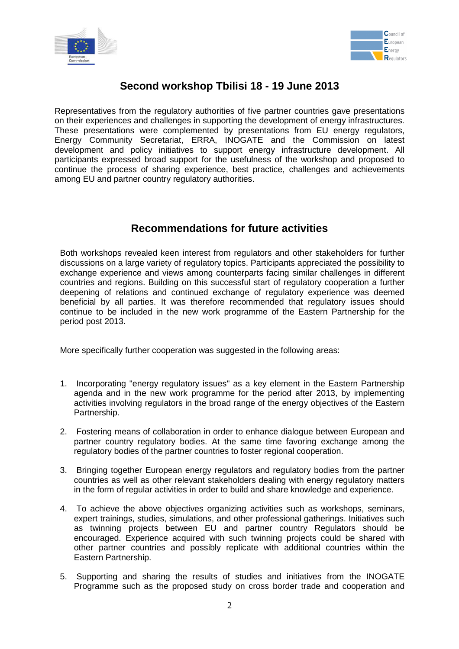



## **Second workshop Tbilisi 18 - 19 June 2013**

Representatives from the regulatory authorities of five partner countries gave presentations on their experiences and challenges in supporting the development of energy infrastructures. These presentations were complemented by presentations from EU energy regulators, Energy Community Secretariat, ERRA, INOGATE and the Commission on latest development and policy initiatives to support energy infrastructure development. All participants expressed broad support for the usefulness of the workshop and proposed to continue the process of sharing experience, best practice, challenges and achievements among EU and partner country regulatory authorities.

### **Recommendations for future activities**

Both workshops revealed keen interest from regulators and other stakeholders for further discussions on a large variety of regulatory topics. Participants appreciated the possibility to exchange experience and views among counterparts facing similar challenges in different countries and regions. Building on this successful start of regulatory cooperation a further deepening of relations and continued exchange of regulatory experience was deemed beneficial by all parties. It was therefore recommended that regulatory issues should continue to be included in the new work programme of the Eastern Partnership for the period post 2013.

More specifically further cooperation was suggested in the following areas:

- 1. Incorporating "energy regulatory issues" as a key element in the Eastern Partnership agenda and in the new work programme for the period after 2013, by implementing activities involving regulators in the broad range of the energy objectives of the Eastern Partnership.
- 2. Fostering means of collaboration in order to enhance dialogue between European and partner country regulatory bodies. At the same time favoring exchange among the regulatory bodies of the partner countries to foster regional cooperation.
- 3. Bringing together European energy regulators and regulatory bodies from the partner countries as well as other relevant stakeholders dealing with energy regulatory matters in the form of regular activities in order to build and share knowledge and experience.
- 4. To achieve the above objectives organizing activities such as workshops, seminars, expert trainings, studies, simulations, and other professional gatherings. Initiatives such as twinning projects between EU and partner country Regulators should be encouraged. Experience acquired with such twinning projects could be shared with other partner countries and possibly replicate with additional countries within the Eastern Partnership.
- 5. Supporting and sharing the results of studies and initiatives from the INOGATE Programme such as the proposed study on cross border trade and cooperation and